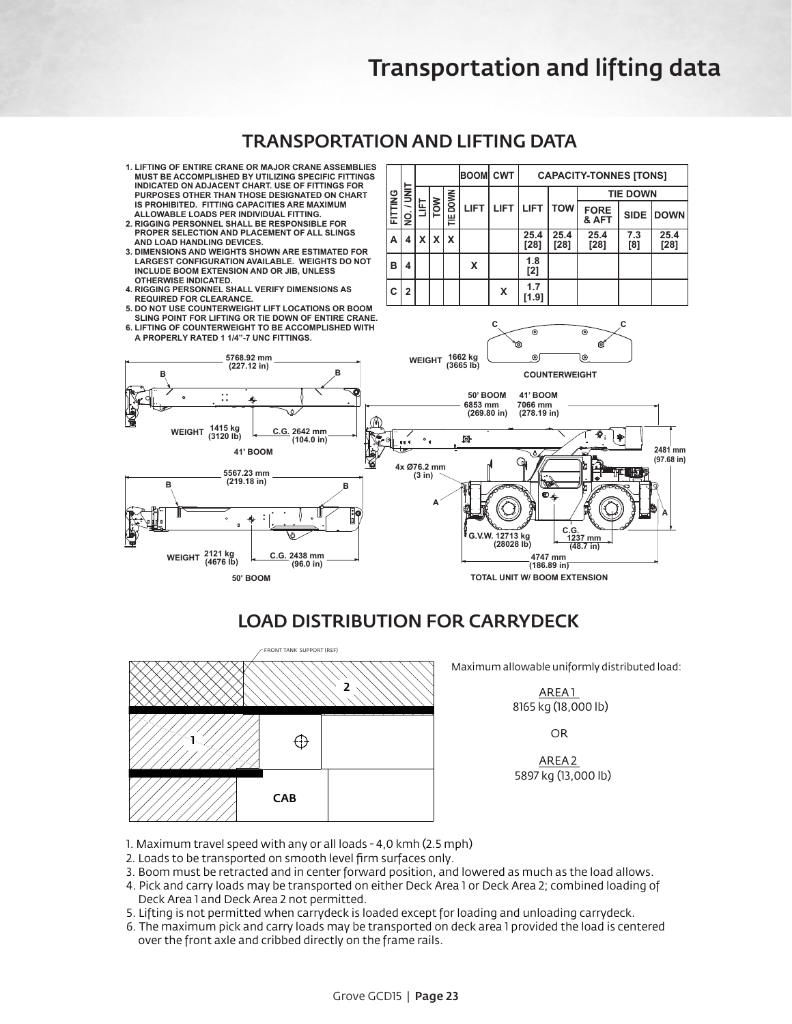## **TRANSPORTATION AND LIFTING DATA**

- **1. LIFTING OF ENTIRE CRANE OR MAJOR CRANE ASSEMBLIES MUST BE ACCOMPLISHED BY UTILIZING SPECIFIC FITTINGS INDICATED ON ADJACENT CHART. USE OF FITTINGS FOR PURPOSES OTHER THAN THOSE DESIGNATED ON CHART IS PROHIBITED. FITTING CAPACITIES ARE MAXIMUM ALLOWABLE LOADS PER INDIVIDUAL FITTING.**
- **2. RIGGING PERSONNEL SHALL BE RESPONSIBLE FOR PROPER SELECTION AND PLACEMENT OF ALL SLINGS AND LOAD HANDLING DEVICES.**
- **3. DIMENSIONS AND WEIGHTS SHOWN ARE ESTIMATED FOR LARGEST CONFIGURATION AVAILABLE. WEIGHTS DO NOT INCLUDE BOOM EXTENSION AND OR JIB, UNLESS OTHERWISE INDICATED.**
- **4. RIGGING PERSONNEL SHALL VERIFY DIMENSIONS AS REQUIRED FOR CLEARANCE.**
- **5. DO NOT USE COUNTERWEIGHT LIFT LOCATIONS OR BOOM**
- **SLING POINT FOR LIFTING OR TIE DOWN OF ENTIRE CRANE. 6. LIFTING OF COUNTERWEIGHT TO BE ACCOMPLISHED WITH**



**c c** 



## LOAD DISTRIBUTION FOR CARRYDECK



Maximum allowable uniformly distributed load:

<u>AREA 1</u> 8165 kg (18,000 lb)

OR

 $\overline{AREA2}$ 

- 1. Maximum travel speed with any or all loads 4,0 kmh (2.5 mph)
- 2. Loads to be transported on smooth level firm surfaces only.
- 3. Boom must be retracted and in center forward position, and lowered as much as the load allows.
- 4. Pick and carry loads may be transported on either Deck Area 1 or Deck Area 2; combined loading of Deck Area 1 and Deck Area 2 not permitted.
- 5. Lifting is not permitted when carrydeck is loaded except for loading and unloading carrydeck.
- 6. The maximum pick and carry loads may be transported on deck area 1 provided the load is centered over the front axle and cribbed directly on the frame rails.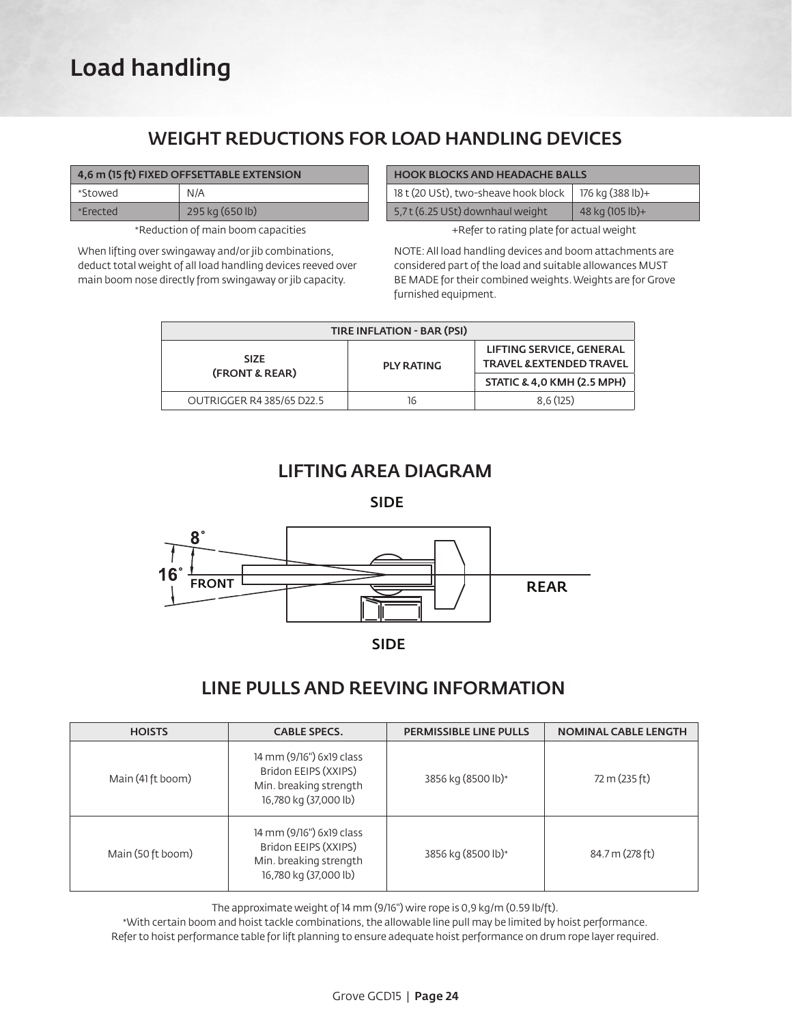# Load handling

## WEIGHT REDUCTIONS FOR LOAD HANDLING DEVICES

| 4,6 m (15 ft) FIXED OFFSETTABLE EXTENSION |                 |  |  |
|-------------------------------------------|-----------------|--|--|
| *Stowed                                   | N/A             |  |  |
| *Frected                                  | 295 kg (650 lb) |  |  |

\*Reduction of main boom capacities

When lifting over swingaway and/or jib combinations, deduct total weight of all load handling devices reeved over main boom nose directly from swingaway or jib capacity.

| <b>HOOK BLOCKS AND HEADACHE BALLS</b> |                  |  |  |  |
|---------------------------------------|------------------|--|--|--|
| 18 t (20 USt), two-sheave hook block  | 176 kg (388 lb)+ |  |  |  |
| 5,7t (6.25 USt) downhaul weight       | 48 kg (105 lb)+  |  |  |  |

+Refer to rating plate for actual weight

NOTE: All load handling devices and boom attachments are considered part of the load and suitable allowances MUST BE MADE for their combined weights. Weights are for Grove furnished equipment.

| <b>TIRE INFLATION - BAR (PSI)</b> |                   |                                                                 |  |  |  |
|-----------------------------------|-------------------|-----------------------------------------------------------------|--|--|--|
| <b>SIZE</b><br>(FRONT & REAR)     | <b>PLY RATING</b> | LIFTING SERVICE, GENERAL<br><b>TRAVEL &amp; EXTENDED TRAVEL</b> |  |  |  |
|                                   |                   | STATIC & 4,0 KMH (2.5 MPH)                                      |  |  |  |
| OUTRIGGER R4 385/65 D22.5         | 16                | 8.6(125)                                                        |  |  |  |

## LIFTING AREA DIAGRAM

SIDE



SIDE

## LINE PULLS AND REEVING INFORMATION

| <b>HOISTS</b>     | <b>CABLE SPECS.</b>                                                                                 | <b>PERMISSIBLE LINE PULLS</b> | <b>NOMINAL CABLE LENGTH</b> |
|-------------------|-----------------------------------------------------------------------------------------------------|-------------------------------|-----------------------------|
| Main (41 ft boom) | 14 mm (9/16") 6x19 class<br>Bridon EEIPS (XXIPS)<br>Min. breaking strength<br>16,780 kg (37,000 lb) | 3856 kg (8500 lb)*            | 72 m (235 ft)               |
| Main (50 ft boom) | 14 mm (9/16") 6x19 class<br>Bridon EEIPS (XXIPS)<br>Min. breaking strength<br>16,780 kg (37,000 lb) | 3856 kg (8500 lb)*            | 84.7 m (278 ft)             |

The approximate weight of 14 mm (9/16") wire rope is 0,9 kg/m (0.59 lb/ft).

\*With certain boom and hoist tackle combinations, the allowable line pull may be limited by hoist performance. Refer to hoist performance table for lift planning to ensure adequate hoist performance on drum rope layer required.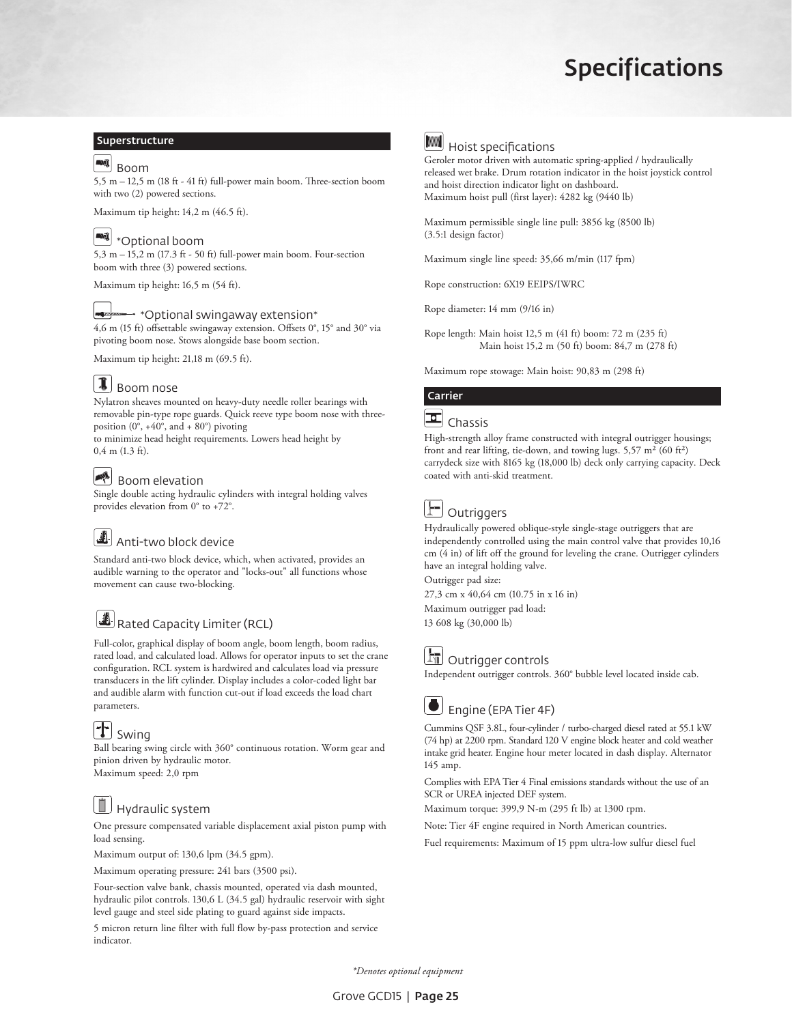# Specifications

#### Superstructure

## **ANI** Boom

5,5 m – 12,5 m (18 ft - 41 ft) full-power main boom. Three-section boom with two (2) powered sections.

Maximum tip height: 14,2 m (46.5 ft).

### **WI** \*Optional boom

5,3 m – 15,2 m (17.3 ft - 50 ft) full-power main boom. Four-section boom with three (3) powered sections.

Maximum tip height: 16,5 m (54 ft).

#### $\rightarrow$  \*Optional swingaway extension\*

4,6 m (15 ft) offsettable swingaway extension. Offsets 0°, 15° and 30° via pivoting boom nose. Stows alongside base boom section.

Maximum tip height: 21,18 m (69.5 ft).

## $\bigcup$  Boom nose

Nylatron sheaves mounted on heavy-duty needle roller bearings with removable pin-type rope guards. Quick reeve type boom nose with threeposition  $(0^\circ, +40^\circ, \text{ and } +80^\circ)$  pivoting

to minimize head height requirements. Lowers head height by 0,4 m (1.3 ft).

## Boom elevation

Single double acting hydraulic cylinders with integral holding valves provides elevation from 0° to +72°.

## **A** Anti-two block device

Standard anti-two block device, which, when activated, provides an audible warning to the operator and "locks-out" all functions whose movement can cause two-blocking.

## Rated Capacity Limiter (RCL)

Full-color, graphical display of boom angle, boom length, boom radius, rated load, and calculated load. Allows for operator inputs to set the crane configuration. RCL system is hardwired and calculates load via pressure transducers in the lift cylinder. Display includes a color-coded light bar and audible alarm with function cut-out if load exceeds the load chart parameters.

## $\mathbf{T}$  Swing

Ball bearing swing circle with 360° continuous rotation. Worm gear and pinion driven by hydraulic motor. Maximum speed: 2,0 rpm

## **Hydraulic system**

One pressure compensated variable displacement axial piston pump with load sensing.

Maximum output of: 130,6 lpm (34.5 gpm).

Maximum operating pressure: 241 bars (3500 psi).

Four-section valve bank, chassis mounted, operated via dash mounted, hydraulic pilot controls. 130,6 L (34.5 gal) hydraulic reservoir with sight level gauge and steel side plating to guard against side impacts.

5 micron return line filter with full flow by-pass protection and service indicator.



# **MM** Hoist specifications

Geroler motor driven with automatic spring-applied / hydraulically released wet brake. Drum rotation indicator in the hoist joystick control and hoist direction indicator light on dashboard. Maximum hoist pull (first layer): 4282 kg (9440 lb)

Maximum permissible single line pull: 3856 kg (8500 lb) (3.5:1 design factor)

Maximum single line speed: 35,66 m/min (117 fpm)

Rope construction: 6X19 EEIPS/IWRC

Rope diameter: 14 mm (9/16 in)

Rope length: Main hoist 12,5 m (41 ft) boom: 72 m (235 ft) Main hoist 15,2 m (50 ft) boom: 84,7 m (278 ft)

Maximum rope stowage: Main hoist: 90,83 m (298 ft)

#### Carrier



High-strength alloy frame constructed with integral outrigger housings; front and rear lifting, tie-down, and towing lugs.  $5,57 \text{ m}^2$  (60 ft<sup>2</sup>) carrydeck size with 8165 kg (18,000 lb) deck only carrying capacity. Deck coated with anti-skid treatment.



# Outriggers

Hydraulically powered oblique-style single-stage outriggers that are independently controlled using the main control valve that provides 10,16 cm (4 in) of lift off the ground for leveling the crane. Outrigger cylinders have an integral holding valve.

Outrigger pad size:

27,3 cm x 40,64 cm (10.75 in x 16 in) Maximum outrigger pad load:

13 608 kg (30,000 lb)



## **Outrigger controls**

Independent outrigger controls. 360° bubble level located inside cab.



## Engine (EPA Tier 4F)

Cummins QSF 3.8L, four-cylinder / turbo-charged diesel rated at 55.1 kW (74 hp) at 2200 rpm. Standard 120 V engine block heater and cold weather intake grid heater. Engine hour meter located in dash display. Alternator 145 amp.

Complies with EPA Tier 4 Final emissions standards without the use of an SCR or UREA injected DEF system.

Maximum torque: 399,9 N-m (295 ft lb) at 1300 rpm.

Note: Tier 4F engine required in North American countries.

Fuel requirements: Maximum of 15 ppm ultra-low sulfur diesel fuel

*\*Denotes optional equipment*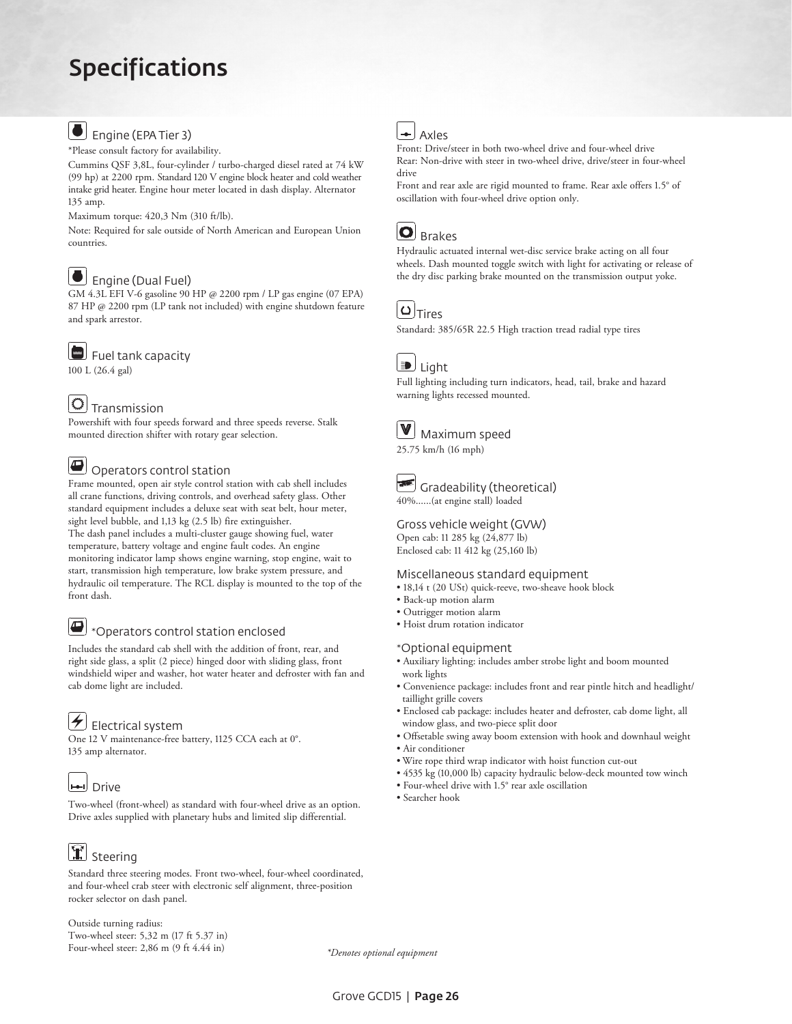# Specifications

## Engine (EPA Tier 3)

\*Please consult factory for availability.

Cummins QSF 3,8L, four-cylinder / turbo-charged diesel rated at 74 kW (99 hp) at 2200 rpm. Standard 120 V engine block heater and cold weather intake grid heater. Engine hour meter located in dash display. Alternator 135 amp.

Maximum torque: 420,3 Nm (310 ft/lb).

Note: Required for sale outside of North American and European Union countries.

## Engine (Dual Fuel)

GM 4.3L EFI V-6 gasoline 90 HP @ 2200 rpm / LP gas engine (07 EPA) 87 HP @ 2200 rpm (LP tank not included) with engine shutdown feature and spark arrestor.

Fuel tank capacity

100 L (26.4 gal)

## $\circ$  Transmission

Powershift with four speeds forward and three speeds reverse. Stalk mounted direction shifter with rotary gear selection.

#### Operators control station

Frame mounted, open air style control station with cab shell includes all crane functions, driving controls, and overhead safety glass. Other standard equipment includes a deluxe seat with seat belt, hour meter, sight level bubble, and 1,13 kg (2.5 lb) fire extinguisher. The dash panel includes a multi-cluster gauge showing fuel, water temperature, battery voltage and engine fault codes. An engine monitoring indicator lamp shows engine warning, stop engine, wait to start, transmission high temperature, low brake system pressure, and hydraulic oil temperature. The RCL display is mounted to the top of the front dash.

### $\bigoplus$  \*Operators control station enclosed

Includes the standard cab shell with the addition of front, rear, and right side glass, a split (2 piece) hinged door with sliding glass, front windshield wiper and washer, hot water heater and defroster with fan and cab dome light are included.

 $\left| \boldsymbol{\neq} \right|$  Electrical system

One 12 V maintenance-free battery, 1125 CCA each at 0°. 135 amp alternator.



Two-wheel (front-wheel) as standard with four-wheel drive as an option. Drive axles supplied with planetary hubs and limited slip differential.

# Steering

Standard three steering modes. Front two-wheel, four-wheel coordinated, and four-wheel crab steer with electronic self alignment, three-position rocker selector on dash panel.

Outside turning radius: Two-wheel steer: 5,32 m (17 ft 5.37 in) Four-wheel steer: 2,86 m (9 ft 4.44 in)

*\*Denotes optional equipment*



Front: Drive/steer in both two-wheel drive and four-wheel drive Rear: Non-drive with steer in two-wheel drive, drive/steer in four-wheel drive

Front and rear axle are rigid mounted to frame. Rear axle offers 1.5° of oscillation with four-wheel drive option only.



Hydraulic actuated internal wet-disc service brake acting on all four wheels. Dash mounted toggle switch with light for activating or release of the dry disc parking brake mounted on the transmission output yoke.

## $|O|_{\text{Tires}}$

Standard: 385/65R 22.5 High traction tread radial type tires



Full lighting including turn indicators, head, tail, brake and hazard warning lights recessed mounted.





40%......(at engine stall) loaded

Gross vehicle weight (GVW)

Open cab: 11 285 kg (24,877 lb) Enclosed cab: 11 412 kg (25,160 lb)

#### Miscellaneous standard equipment

- 18,14 t (20 USt) quick-reeve, two-sheave hook block
- Back-up motion alarm
- Outrigger motion alarm
- Hoist drum rotation indicator

#### \*Optional equipment

- Auxiliary lighting: includes amber strobe light and boom mounted work lights
- Convenience package: includes front and rear pintle hitch and headlight/ taillight grille covers
- Enclosed cab package: includes heater and defroster, cab dome light, all window glass, and two-piece split door
- Offsetable swing away boom extension with hook and downhaul weight • Air conditioner
- Wire rope third wrap indicator with hoist function cut-out
- 4535 kg (10,000 lb) capacity hydraulic below-deck mounted tow winch
- Four-wheel drive with 1.5° rear axle oscillation
- Searcher hook